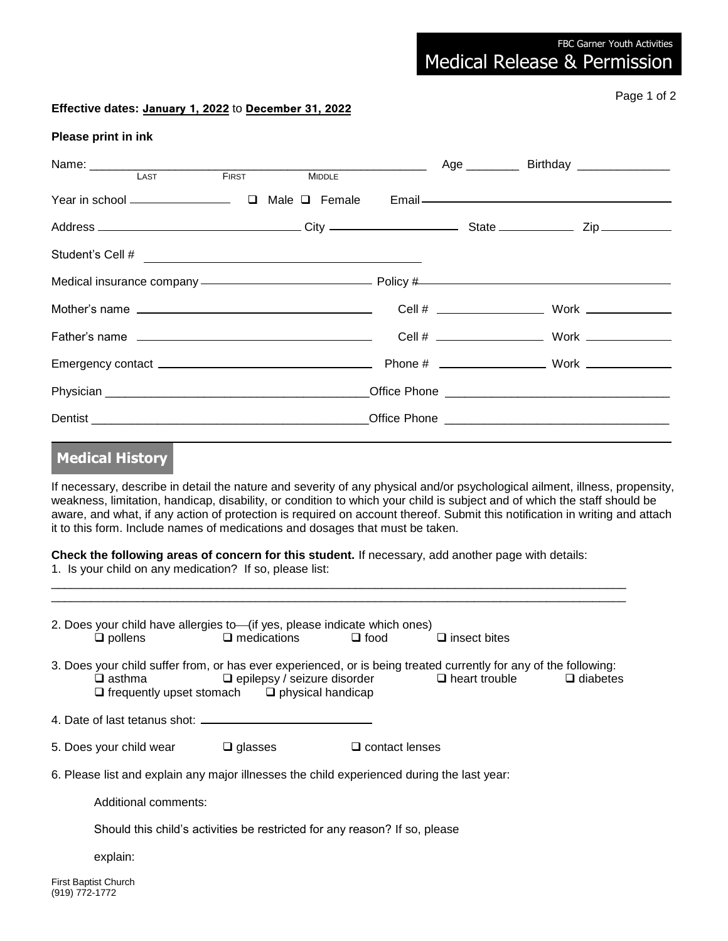Medical Release & Permission

## **Effective dates:** January 1, 2022 to December 31, 2022

Page 1 of 2

## **Please print in ink**

|                                                                                                                                                                                                                                                         |  |  | Age ______________ Birthday ___________________ |
|---------------------------------------------------------------------------------------------------------------------------------------------------------------------------------------------------------------------------------------------------------|--|--|-------------------------------------------------|
|                                                                                                                                                                                                                                                         |  |  |                                                 |
|                                                                                                                                                                                                                                                         |  |  |                                                 |
|                                                                                                                                                                                                                                                         |  |  |                                                 |
| Medical insurance company —————————————————— Policy #———————————————————————————                                                                                                                                                                        |  |  |                                                 |
|                                                                                                                                                                                                                                                         |  |  |                                                 |
|                                                                                                                                                                                                                                                         |  |  |                                                 |
|                                                                                                                                                                                                                                                         |  |  |                                                 |
|                                                                                                                                                                                                                                                         |  |  |                                                 |
|                                                                                                                                                                                                                                                         |  |  |                                                 |
| <b>Medical History</b>                                                                                                                                                                                                                                  |  |  |                                                 |
| If necessary, describe in detail the nature and severity of any physical and/or psychological ailment, illness, propensity,<br>weakness, limitation, handicap, disability, or condition to which your child is subject and of which the staff should be |  |  |                                                 |

aware, and what, if any action of protection is required on account thereof. Submit this notification in writing and attach it to this form. Include names of medications and dosages that must be taken.

**Check the following areas of concern for this student.** If necessary, add another page with details: 1. Is your child on any medication? If so, please list:

\_\_\_\_\_\_\_\_\_\_\_\_\_\_\_\_\_\_\_\_\_\_\_\_\_\_\_\_\_\_\_\_\_\_\_\_\_\_\_\_\_\_\_\_\_\_\_\_\_\_\_\_\_\_\_\_\_\_\_\_\_\_\_\_\_\_\_\_\_\_\_\_\_\_\_\_\_\_\_\_\_\_\_\_\_\_\_ \_\_\_\_\_\_\_\_\_\_\_\_\_\_\_\_\_\_\_\_\_\_\_\_\_\_\_\_\_\_\_\_\_\_\_\_\_\_\_\_\_\_\_\_\_\_\_\_\_\_\_\_\_\_\_\_\_\_\_\_\_\_\_\_\_\_\_\_\_\_\_\_\_\_\_\_\_\_\_\_\_\_\_\_\_\_\_

|                                                                                            | $\Box$ pollens                         | 2. Does your child have allergies to—(if yes, please indicate which ones)<br>$\Box$ medications | $\Box$ food           | $\Box$ insect bites                                                                                                                                                         |                 |  |  |
|--------------------------------------------------------------------------------------------|----------------------------------------|-------------------------------------------------------------------------------------------------|-----------------------|-----------------------------------------------------------------------------------------------------------------------------------------------------------------------------|-----------------|--|--|
|                                                                                            | $\Box$ asthma                          | $\Box$ frequently upset stomach $\Box$ physical handicap                                        |                       | 3. Does your child suffer from, or has ever experienced, or is being treated currently for any of the following:<br>$\Box$ epilepsy / seizure disorder $\Box$ heart trouble | $\Box$ diabetes |  |  |
|                                                                                            |                                        |                                                                                                 |                       |                                                                                                                                                                             |                 |  |  |
|                                                                                            | 5. Does your child wear $\Box$ glasses |                                                                                                 | $\Box$ contact lenses |                                                                                                                                                                             |                 |  |  |
| 6. Please list and explain any major illnesses the child experienced during the last year: |                                        |                                                                                                 |                       |                                                                                                                                                                             |                 |  |  |
|                                                                                            | Additional comments:                   |                                                                                                 |                       |                                                                                                                                                                             |                 |  |  |
| Should this child's activities be restricted for any reason? If so, please                 |                                        |                                                                                                 |                       |                                                                                                                                                                             |                 |  |  |
|                                                                                            | explain:                               |                                                                                                 |                       |                                                                                                                                                                             |                 |  |  |
| (919) 772-1772                                                                             | First Baptist Church                   |                                                                                                 |                       |                                                                                                                                                                             |                 |  |  |